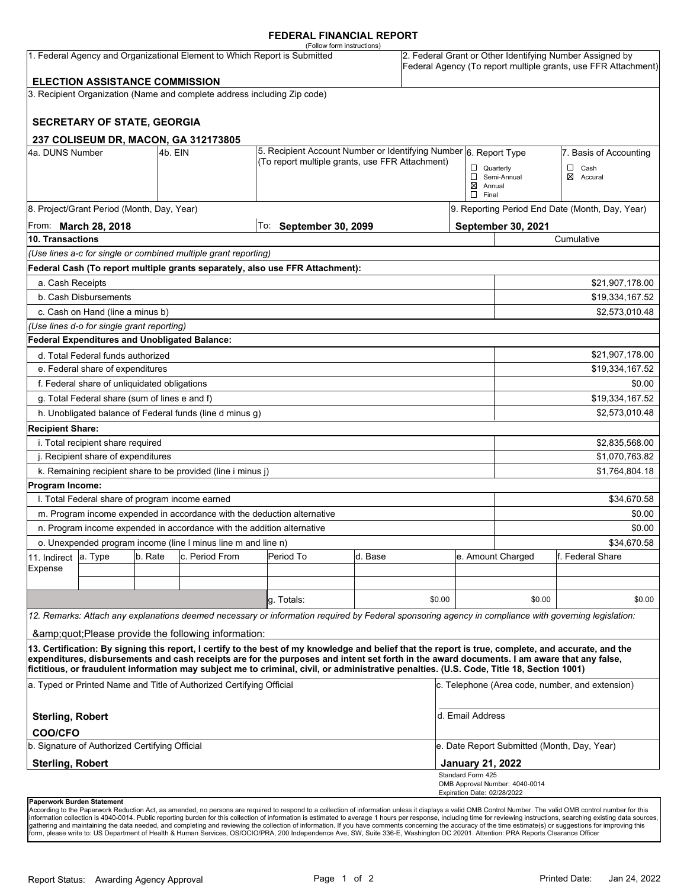## **FEDERAL FINANCIAL REPORT**

|                                   |                                                 |         |                                                                           | (Follow form instructions)                                                                                                                                                                                                                                                                                                                                                                                                                      |                                                                  |        |                                    |                                             |                                                                                                                            |  |  |
|-----------------------------------|-------------------------------------------------|---------|---------------------------------------------------------------------------|-------------------------------------------------------------------------------------------------------------------------------------------------------------------------------------------------------------------------------------------------------------------------------------------------------------------------------------------------------------------------------------------------------------------------------------------------|------------------------------------------------------------------|--------|------------------------------------|---------------------------------------------|----------------------------------------------------------------------------------------------------------------------------|--|--|
|                                   |                                                 |         | 1. Federal Agency and Organizational Element to Which Report is Submitted |                                                                                                                                                                                                                                                                                                                                                                                                                                                 |                                                                  |        |                                    |                                             | 2. Federal Grant or Other Identifying Number Assigned by<br>Federal Agency (To report multiple grants, use FFR Attachment) |  |  |
|                                   | <b>ELECTION ASSISTANCE COMMISSION</b>           |         |                                                                           |                                                                                                                                                                                                                                                                                                                                                                                                                                                 |                                                                  |        |                                    |                                             |                                                                                                                            |  |  |
|                                   |                                                 |         | 3. Recipient Organization (Name and complete address including Zip code)  |                                                                                                                                                                                                                                                                                                                                                                                                                                                 |                                                                  |        |                                    |                                             |                                                                                                                            |  |  |
|                                   |                                                 |         |                                                                           |                                                                                                                                                                                                                                                                                                                                                                                                                                                 |                                                                  |        |                                    |                                             |                                                                                                                            |  |  |
|                                   | <b>SECRETARY OF STATE, GEORGIA</b>              |         |                                                                           |                                                                                                                                                                                                                                                                                                                                                                                                                                                 |                                                                  |        |                                    |                                             |                                                                                                                            |  |  |
|                                   |                                                 |         |                                                                           |                                                                                                                                                                                                                                                                                                                                                                                                                                                 |                                                                  |        |                                    |                                             |                                                                                                                            |  |  |
| 4a. DUNS Number                   |                                                 | 4b. EIN | 237 COLISEUM DR, MACON, GA 312173805                                      |                                                                                                                                                                                                                                                                                                                                                                                                                                                 | 5. Recipient Account Number or Identifying Number 6. Report Type |        |                                    |                                             | 7. Basis of Accounting                                                                                                     |  |  |
|                                   |                                                 |         |                                                                           | (To report multiple grants, use FFR Attachment)                                                                                                                                                                                                                                                                                                                                                                                                 |                                                                  |        | $\Box$ Quarterly                   |                                             | □<br>Cash                                                                                                                  |  |  |
|                                   |                                                 |         |                                                                           |                                                                                                                                                                                                                                                                                                                                                                                                                                                 |                                                                  |        |                                    | Semi-Annual<br>⊠<br>Accural                 |                                                                                                                            |  |  |
|                                   |                                                 |         |                                                                           |                                                                                                                                                                                                                                                                                                                                                                                                                                                 |                                                                  |        | $\boxtimes$ Annual<br>$\Box$ Final |                                             |                                                                                                                            |  |  |
|                                   | 8. Project/Grant Period (Month, Day, Year)      |         |                                                                           |                                                                                                                                                                                                                                                                                                                                                                                                                                                 |                                                                  |        |                                    |                                             | 9. Reporting Period End Date (Month, Day, Year)                                                                            |  |  |
|                                   | From: March 28, 2018                            |         |                                                                           |                                                                                                                                                                                                                                                                                                                                                                                                                                                 |                                                                  |        |                                    | September 30, 2021                          |                                                                                                                            |  |  |
| 10. Transactions                  |                                                 |         |                                                                           | To: September 30, 2099                                                                                                                                                                                                                                                                                                                                                                                                                          |                                                                  |        |                                    |                                             | Cumulative                                                                                                                 |  |  |
|                                   |                                                 |         | (Use lines a-c for single or combined multiple grant reporting)           |                                                                                                                                                                                                                                                                                                                                                                                                                                                 |                                                                  |        |                                    |                                             |                                                                                                                            |  |  |
|                                   |                                                 |         |                                                                           | Federal Cash (To report multiple grants separately, also use FFR Attachment):                                                                                                                                                                                                                                                                                                                                                                   |                                                                  |        |                                    |                                             |                                                                                                                            |  |  |
| a. Cash Receipts                  |                                                 |         |                                                                           |                                                                                                                                                                                                                                                                                                                                                                                                                                                 |                                                                  |        |                                    |                                             |                                                                                                                            |  |  |
|                                   |                                                 |         |                                                                           |                                                                                                                                                                                                                                                                                                                                                                                                                                                 |                                                                  |        |                                    |                                             | \$21,907,178.00                                                                                                            |  |  |
|                                   | b. Cash Disbursements                           |         |                                                                           |                                                                                                                                                                                                                                                                                                                                                                                                                                                 |                                                                  |        |                                    |                                             | \$19,334,167.52                                                                                                            |  |  |
|                                   | c. Cash on Hand (line a minus b)                |         |                                                                           |                                                                                                                                                                                                                                                                                                                                                                                                                                                 |                                                                  |        |                                    |                                             | \$2,573,010.48                                                                                                             |  |  |
|                                   | (Use lines d-o for single grant reporting)      |         |                                                                           |                                                                                                                                                                                                                                                                                                                                                                                                                                                 |                                                                  |        |                                    |                                             |                                                                                                                            |  |  |
|                                   |                                                 |         | Federal Expenditures and Unobligated Balance:                             |                                                                                                                                                                                                                                                                                                                                                                                                                                                 |                                                                  |        |                                    |                                             |                                                                                                                            |  |  |
|                                   | d. Total Federal funds authorized               |         |                                                                           |                                                                                                                                                                                                                                                                                                                                                                                                                                                 |                                                                  |        |                                    |                                             | \$21,907,178.00                                                                                                            |  |  |
|                                   | e. Federal share of expenditures                |         |                                                                           |                                                                                                                                                                                                                                                                                                                                                                                                                                                 |                                                                  |        |                                    |                                             | \$19,334,167.52                                                                                                            |  |  |
|                                   | f. Federal share of unliquidated obligations    |         |                                                                           |                                                                                                                                                                                                                                                                                                                                                                                                                                                 |                                                                  |        |                                    |                                             | \$0.00                                                                                                                     |  |  |
|                                   | g. Total Federal share (sum of lines e and f)   |         |                                                                           |                                                                                                                                                                                                                                                                                                                                                                                                                                                 |                                                                  |        |                                    |                                             | \$19,334,167.52                                                                                                            |  |  |
|                                   |                                                 |         | h. Unobligated balance of Federal funds (line d minus g)                  |                                                                                                                                                                                                                                                                                                                                                                                                                                                 |                                                                  |        |                                    |                                             | \$2,573,010.48                                                                                                             |  |  |
| <b>Recipient Share:</b>           |                                                 |         |                                                                           |                                                                                                                                                                                                                                                                                                                                                                                                                                                 |                                                                  |        |                                    |                                             |                                                                                                                            |  |  |
|                                   | i. Total recipient share required               |         |                                                                           |                                                                                                                                                                                                                                                                                                                                                                                                                                                 |                                                                  |        |                                    |                                             | \$2,835,568.00                                                                                                             |  |  |
|                                   | j. Recipient share of expenditures              |         |                                                                           |                                                                                                                                                                                                                                                                                                                                                                                                                                                 |                                                                  |        |                                    |                                             | \$1,070,763.82                                                                                                             |  |  |
|                                   |                                                 |         | k. Remaining recipient share to be provided (line i minus j)              |                                                                                                                                                                                                                                                                                                                                                                                                                                                 |                                                                  |        |                                    |                                             | \$1,764,804.18                                                                                                             |  |  |
| <b>Program Income:</b>            |                                                 |         |                                                                           |                                                                                                                                                                                                                                                                                                                                                                                                                                                 |                                                                  |        |                                    |                                             |                                                                                                                            |  |  |
|                                   | I. Total Federal share of program income earned |         |                                                                           |                                                                                                                                                                                                                                                                                                                                                                                                                                                 |                                                                  |        |                                    |                                             | \$34,670.58                                                                                                                |  |  |
|                                   |                                                 |         | m. Program income expended in accordance with the deduction alternative   |                                                                                                                                                                                                                                                                                                                                                                                                                                                 |                                                                  |        |                                    |                                             | \$0.00                                                                                                                     |  |  |
|                                   |                                                 |         | n. Program income expended in accordance with the addition alternative    |                                                                                                                                                                                                                                                                                                                                                                                                                                                 |                                                                  |        |                                    |                                             | \$0.00                                                                                                                     |  |  |
|                                   |                                                 |         | o. Unexpended program income (line I minus line m and line n)             |                                                                                                                                                                                                                                                                                                                                                                                                                                                 |                                                                  |        |                                    |                                             | \$34.670.58                                                                                                                |  |  |
| 11. Indirect                      | a. Type                                         | b. Rate | c. Period From                                                            | Period To                                                                                                                                                                                                                                                                                                                                                                                                                                       | d. Base                                                          |        |                                    | e. Amount Charged                           | f. Federal Share                                                                                                           |  |  |
| Expense                           |                                                 |         |                                                                           |                                                                                                                                                                                                                                                                                                                                                                                                                                                 |                                                                  |        |                                    |                                             |                                                                                                                            |  |  |
|                                   |                                                 |         |                                                                           |                                                                                                                                                                                                                                                                                                                                                                                                                                                 |                                                                  |        |                                    |                                             |                                                                                                                            |  |  |
|                                   |                                                 |         |                                                                           | a. Totals:                                                                                                                                                                                                                                                                                                                                                                                                                                      |                                                                  | \$0.00 |                                    | \$0.00                                      | \$0.00                                                                                                                     |  |  |
|                                   |                                                 |         |                                                                           | 12. Remarks: Attach any explanations deemed necessary or information required by Federal sponsoring agency in compliance with governing legislation:                                                                                                                                                                                                                                                                                            |                                                                  |        |                                    |                                             |                                                                                                                            |  |  |
|                                   |                                                 |         |                                                                           |                                                                                                                                                                                                                                                                                                                                                                                                                                                 |                                                                  |        |                                    |                                             |                                                                                                                            |  |  |
|                                   |                                                 |         | & quot; Please provide the following information:                         |                                                                                                                                                                                                                                                                                                                                                                                                                                                 |                                                                  |        |                                    |                                             |                                                                                                                            |  |  |
|                                   |                                                 |         |                                                                           | 13. Certification: By signing this report, I certify to the best of my knowledge and belief that the report is true, complete, and accurate, and the<br>expenditures, disbursements and cash receipts are for the purposes and intent set forth in the award documents. I am aware that any false,<br>fictitious, or fraudulent information may subject me to criminal, civil, or administrative penalties. (U.S. Code, Title 18, Section 1001) |                                                                  |        |                                    |                                             |                                                                                                                            |  |  |
|                                   |                                                 |         | a. Typed or Printed Name and Title of Authorized Certifying Official      |                                                                                                                                                                                                                                                                                                                                                                                                                                                 |                                                                  |        |                                    |                                             | c. Telephone (Area code, number, and extension)                                                                            |  |  |
|                                   |                                                 |         |                                                                           |                                                                                                                                                                                                                                                                                                                                                                                                                                                 |                                                                  |        |                                    |                                             |                                                                                                                            |  |  |
| <b>Sterling, Robert</b>           |                                                 |         |                                                                           |                                                                                                                                                                                                                                                                                                                                                                                                                                                 |                                                                  |        | d. Email Address                   |                                             |                                                                                                                            |  |  |
| <b>COO/CFO</b>                    |                                                 |         |                                                                           |                                                                                                                                                                                                                                                                                                                                                                                                                                                 |                                                                  |        |                                    |                                             |                                                                                                                            |  |  |
|                                   | b. Signature of Authorized Certifying Official  |         |                                                                           |                                                                                                                                                                                                                                                                                                                                                                                                                                                 |                                                                  |        |                                    | e. Date Report Submitted (Month, Day, Year) |                                                                                                                            |  |  |
| <b>Sterling, Robert</b>           |                                                 |         |                                                                           |                                                                                                                                                                                                                                                                                                                                                                                                                                                 |                                                                  |        | <b>January 21, 2022</b>            |                                             |                                                                                                                            |  |  |
|                                   |                                                 |         |                                                                           |                                                                                                                                                                                                                                                                                                                                                                                                                                                 |                                                                  |        | Standard Form 425                  | OMB Approval Number: 4040-0014              |                                                                                                                            |  |  |
|                                   |                                                 |         |                                                                           |                                                                                                                                                                                                                                                                                                                                                                                                                                                 |                                                                  |        | Expiration Date: 02/28/2022        |                                             |                                                                                                                            |  |  |
| <b>Danopuork Burdon Statement</b> |                                                 |         |                                                                           |                                                                                                                                                                                                                                                                                                                                                                                                                                                 |                                                                  |        |                                    |                                             |                                                                                                                            |  |  |

**Paperwork Burden Statement**<br>According to the Paperwork Reduction Act, as amended, no persons are required to respond to a collection of information unless it displays a valid OMB Control Number. The valid OMB control numb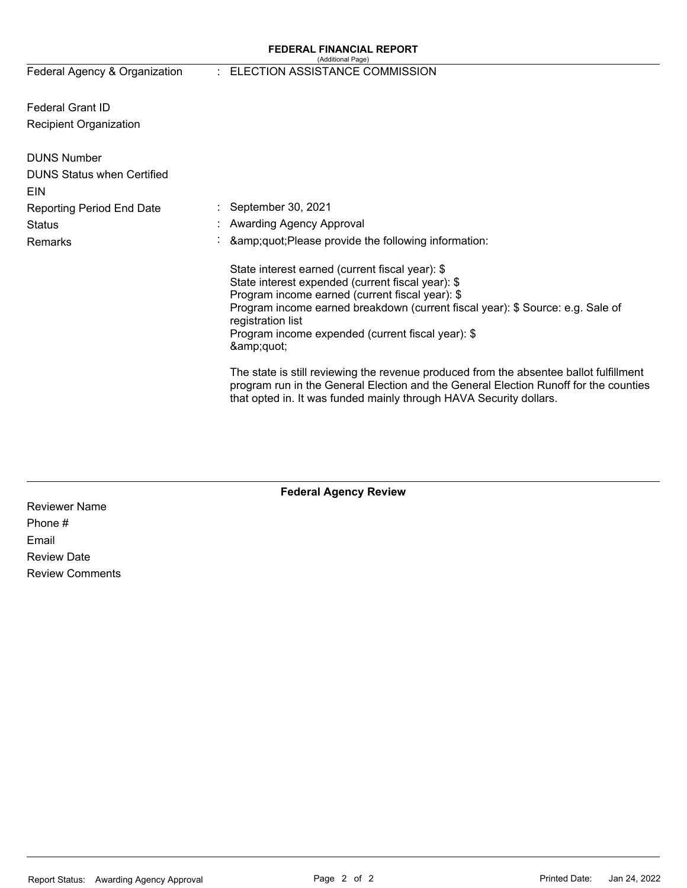#### **FEDERAL FINANCIAL REPORT**  (Additional Page)

Federal Agency & Organization

## : ELECTION ASSISTANCE COMMISSION

Federal Grant ID Recipient Organization

| <b>DUNS Number</b>                |                                                                                                                                                                                                                                                                                                                          |
|-----------------------------------|--------------------------------------------------------------------------------------------------------------------------------------------------------------------------------------------------------------------------------------------------------------------------------------------------------------------------|
| <b>DUNS Status when Certified</b> |                                                                                                                                                                                                                                                                                                                          |
| <b>EIN</b>                        |                                                                                                                                                                                                                                                                                                                          |
| <b>Reporting Period End Date</b>  | : September 30, 2021                                                                                                                                                                                                                                                                                                     |
| Status                            | : Awarding Agency Approval                                                                                                                                                                                                                                                                                               |
| <b>Remarks</b>                    | $\therefore$ & amp; quot; Please provide the following information:                                                                                                                                                                                                                                                      |
|                                   | State interest earned (current fiscal year): \$<br>State interest expended (current fiscal year): \$<br>Program income earned (current fiscal year): \$<br>Program income earned breakdown (current fiscal year): \$ Source: e.g. Sale of<br>registration list<br>Program income expended (current fiscal year): \$<br>" |
|                                   | The state is still reviewing the revenue produced from the absentee ballot fulfillment<br>program run in the General Election and the General Election Runoff for the counties<br>that opted in. It was funded mainly through HAVA Security dollars.                                                                     |

**Federal Agency Review** 

Reviewer Name Phone # Email Review Date Review Comments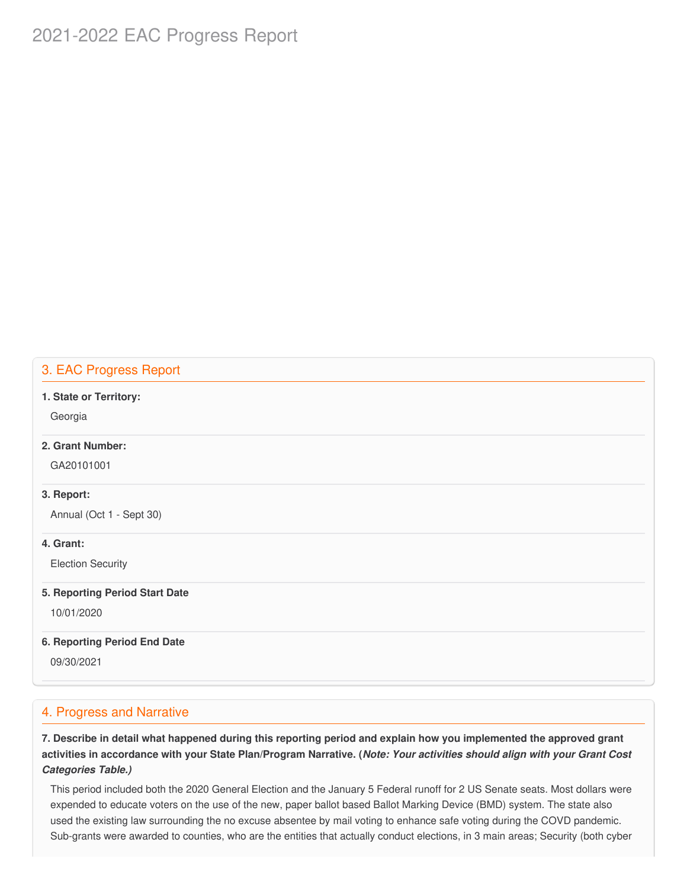# 2021-2022 EAC Progress Report

## 3. EAC Progress Report

#### **1. State or Territory:**

Georgia

#### **2. Grant Number:**

GA20101001

### **3. Report:**

Annual (Oct 1 - Sept 30)

## **4. Grant:**

Election Security

#### **5. Reporting Period Start Date**

10/01/2020

## **6. Reporting Period End Date**

09/30/2021

## 4. Progress and Narrative

7. Describe in detail what happened during this reporting period and explain how you implemented the approved grant activities in accordance with your State Plan/Program Narrative. (*Note: Your activities should align with your Grant Cost Categories Table.)*

 This period included both the 2020 General Election and the January 5 Federal runoff for 2 US Senate seats. Most dollars were expended to educate voters on the use of the new, paper ballot based Ballot Marking Device (BMD) system. The state also used the existing law surrounding the no excuse absentee by mail voting to enhance safe voting during the COVD pandemic. Sub-grants were awarded to counties, who are the entities that actually conduct elections, in 3 main areas; Security (both cyber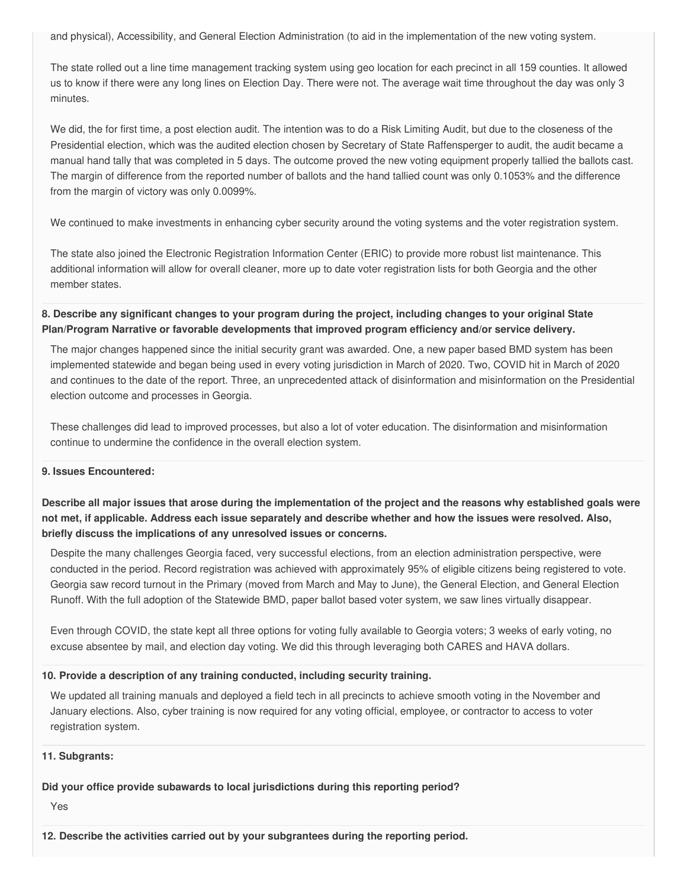and physical), Accessibility, and General Election Administration (to aid in the implementation of the new voting system.

 The state rolled out a line time management tracking system using geo location for each precinct in all 159 counties. It allowed us to know if there were any long lines on Election Day. There were not. The average wait time throughout the day was only 3 minutes.

 We did, the for first time, a post election audit. The intention was to do a Risk Limiting Audit, but due to the closeness of the Presidential election, which was the audited election chosen by Secretary of State Raffensperger to audit, the audit became a manual hand tally that was completed in 5 days. The outcome proved the new voting equipment properly tallied the ballots cast. The margin of difference from the reported number of ballots and the hand tallied count was only 0.1053% and the difference from the margin of victory was only 0.0099%.

We continued to make investments in enhancing cyber security around the voting systems and the voter registration system.

 The state also joined the Electronic Registration Information Center (ERIC) to provide more robust list maintenance. This additional information will allow for overall cleaner, more up to date voter registration lists for both Georgia and the other member states.

8. Describe any significant changes to your program during the project, including changes to your original State  **Plan/Program Narrative or favorable developments that improved program efficiency and/or service delivery.**

 The major changes happened since the initial security grant was awarded. One, a new paper based BMD system has been implemented statewide and began being used in every voting jurisdiction in March of 2020. Two, COVID hit in March of 2020 and continues to the date of the report. Three, an unprecedented attack of disinformation and misinformation on the Presidential election outcome and processes in Georgia.

 These challenges did lead to improved processes, but also a lot of voter education. The disinformation and misinformation continue to undermine the confidence in the overall election system.

### **9. Issues Encountered:**

Describe all major issues that arose during the implementation of the project and the reasons why established goals were not met, if applicable. Address each issue separately and describe whether and how the issues were resolved. Also,  **briefly discuss the implications of any unresolved issues or concerns.**

 Despite the many challenges Georgia faced, very successful elections, from an election administration perspective, were conducted in the period. Record registration was achieved with approximately 95% of eligible citizens being registered to vote. Georgia saw record turnout in the Primary (moved from March and May to June), the General Election, and General Election Runoff. With the full adoption of the Statewide BMD, paper ballot based voter system, we saw lines virtually disappear.

 Even through COVID, the state kept all three options for voting fully available to Georgia voters; 3 weeks of early voting, no excuse absentee by mail, and election day voting. We did this through leveraging both CARES and HAVA dollars.

### **10. Provide a description of any training conducted, including security training.**

 We updated all training manuals and deployed a field tech in all precincts to achieve smooth voting in the November and January elections. Also, cyber training is now required for any voting official, employee, or contractor to access to voter registration system.

### **11. Subgrants:**

## **Did your office provide subawards to local jurisdictions during this reporting period?**

Yes

 **12. Describe the activities carried out by your subgrantees during the reporting period.**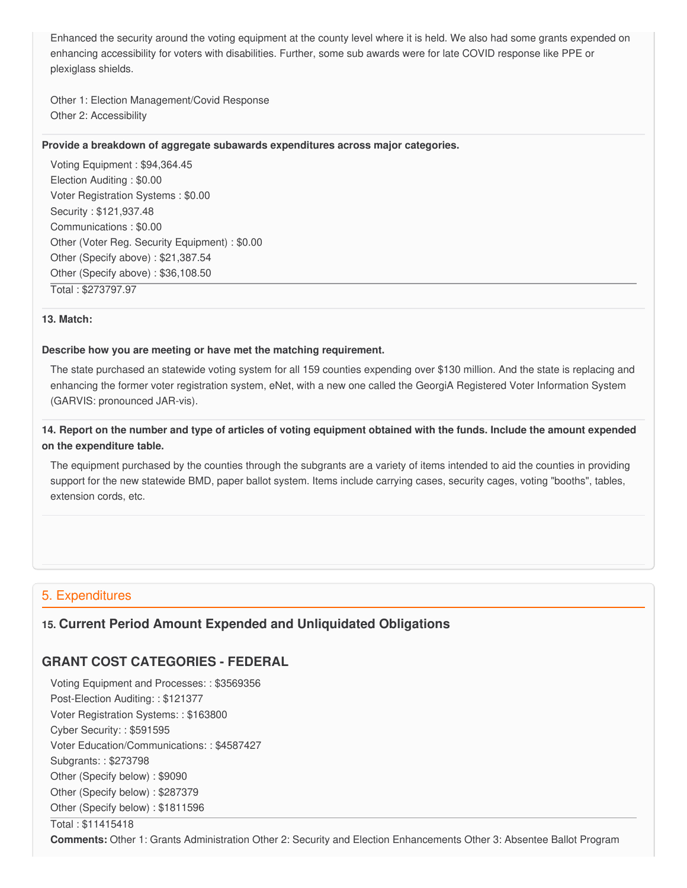Enhanced the security around the voting equipment at the county level where it is held. We also had some grants expended on enhancing accessibility for voters with disabilities. Further, some sub awards were for late COVID response like PPE or plexiglass shields.

 Other 1: Election Management/Covid Response Other 2: Accessibility

#### **Provide a breakdown of aggregate subawards expenditures across major categories.**

 Voting Equipment : [\\$94,364.45](https://94,364.45) Election Auditing : \$0.00 Voter Registration Systems : \$0.00 Security : \$[121,937.48](https://121,937.48) Communications : \$0.00 Other (Voter Reg. Security Equipment) : \$0.00 Other (Specify above) : [\\$21,387.54](https://21,387.54) Other (Specify above) : [\\$36,108.50](https://36,108.50) Total : [\\$273797.97](https://273797.97)

#### **13. Match:**

#### **Describe how you are meeting or have met the matching requirement.**

 The state purchased an statewide voting system for all 159 counties expending over \$130 million. And the state is replacing and enhancing the former voter registration system, eNet, with a new one called the GeorgiA Registered Voter Information System (GARVIS: pronounced JAR-vis).

## 14. Report on the number and type of articles of voting equipment obtained with the funds. Include the amount expended  **on the expenditure table.**

 The equipment purchased by the counties through the subgrants are a variety of items intended to aid the counties in providing support for the new statewide BMD, paper ballot system. Items include carrying cases, security cages, voting "booths", tables, extension cords, etc.

## 5. Expenditures

## **15. Current Period Amount Expended and Unliquidated Obligations**

## **GRANT COST CATEGORIES - FEDERAL**

 Voting Equipment and Processes: : \$3569356 Post-Election Auditing: : \$121377 Voter Registration Systems: : \$163800 Cyber Security: : \$591595 Voter Education/Communications: : \$4587427 Subgrants: : \$273798 Other (Specify below) : \$9090 Other (Specify below) : \$287379 Other (Specify below) : \$1811596

#### Total : \$11415418

**Comments:** Other 1: Grants Administration Other 2: Security and Election Enhancements Other 3: Absentee Ballot Program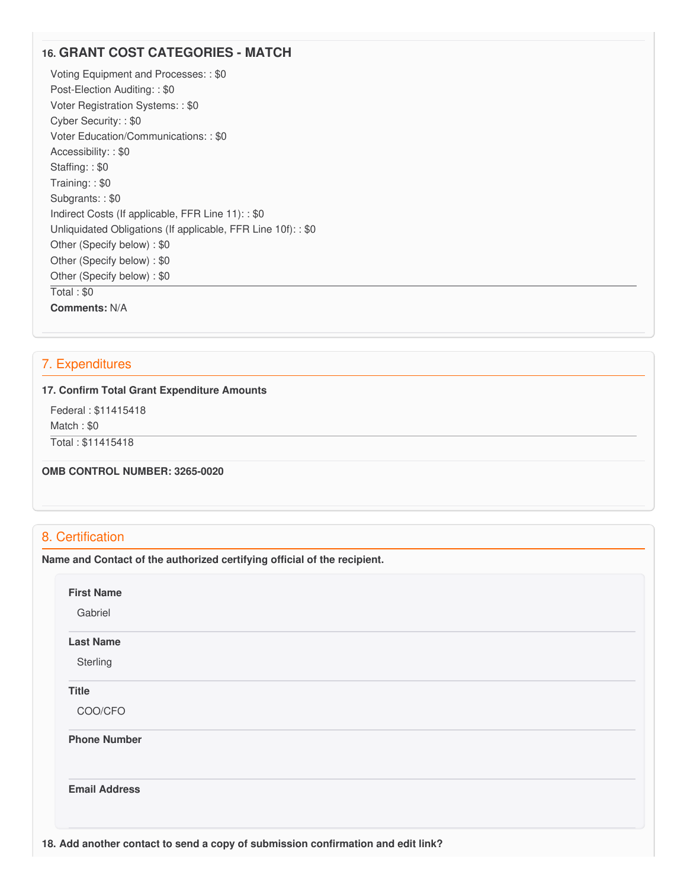## **16. GRANT COST CATEGORIES - MATCH**

 Voting Equipment and Processes: : \$0 Post-Election Auditing: : \$0 Voter Registration Systems: : \$0 Cyber Security: : \$0 Voter Education/Communications: : \$0 Accessibility: : \$0 Staffing: : \$0 Training: : \$0 Subgrants: : \$0 Indirect Costs (If applicable, FFR Line 11): : \$0 Unliquidated Obligations (If applicable, FFR Line 10f): : \$0 Other (Specify below) : \$0 Other (Specify below) : \$0 Other (Specify below) : \$0 Total : \$0 **Comments:** N/A

## 7. Expenditures

#### **17. Confirm Total Grant Expenditure Amounts**

 Federal : \$11415418 Match : \$0 Total : \$11415418

#### **OMB CONTROL NUMBER: 3265-0020**

## 8. Certification

 **Name and Contact of the authorized certifying official of the recipient.**

| Gabriel              |  |  |  |
|----------------------|--|--|--|
| <b>Last Name</b>     |  |  |  |
| Sterling             |  |  |  |
| <b>Title</b>         |  |  |  |
| COO/CFO              |  |  |  |
| <b>Phone Number</b>  |  |  |  |
| <b>Email Address</b> |  |  |  |
|                      |  |  |  |